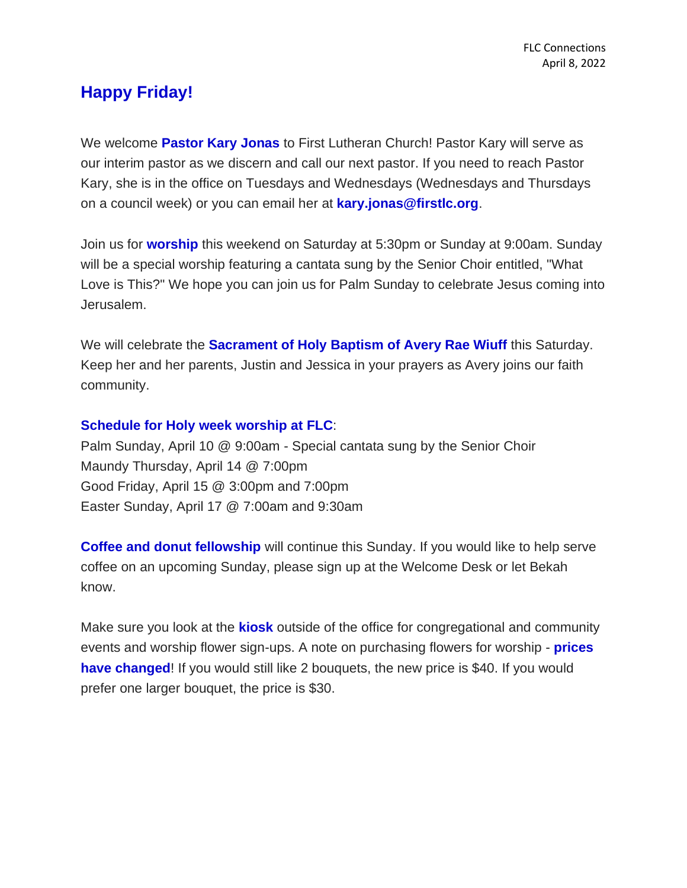## **Happy Friday!**

We welcome **Pastor Kary Jonas** to First Lutheran Church! Pastor Kary will serve as our interim pastor as we discern and call our next pastor. If you need to reach Pastor Kary, she is in the office on Tuesdays and Wednesdays (Wednesdays and Thursdays on a council week) or you can email her at **kary.jonas@firstlc.org**.

Join us for **worship** this weekend on Saturday at 5:30pm or Sunday at 9:00am. Sunday will be a special worship featuring a cantata sung by the Senior Choir entitled, "What Love is This?" We hope you can join us for Palm Sunday to celebrate Jesus coming into Jerusalem.

We will celebrate the **Sacrament of Holy Baptism of Avery Rae Wiuff** this Saturday. Keep her and her parents, Justin and Jessica in your prayers as Avery joins our faith community.

## **Schedule for Holy week worship at FLC**:

Palm Sunday, April 10 @ 9:00am - Special cantata sung by the Senior Choir Maundy Thursday, April 14 @ 7:00pm Good Friday, April 15 @ 3:00pm and 7:00pm Easter Sunday, April 17 @ 7:00am and 9:30am

**Coffee and donut fellowship** will continue this Sunday. If you would like to help serve coffee on an upcoming Sunday, please sign up at the Welcome Desk or let Bekah know.

Make sure you look at the **kiosk** outside of the office for congregational and community events and worship flower sign-ups. A note on purchasing flowers for worship - **prices have changed!** If you would still like 2 bouquets, the new price is \$40. If you would prefer one larger bouquet, the price is \$30.